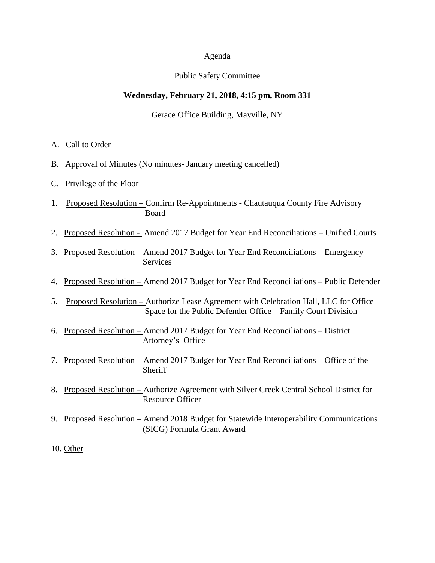#### Agenda

#### Public Safety Committee

### **Wednesday, February 21, 2018, 4:15 pm, Room 331**

Gerace Office Building, Mayville, NY

- A. Call to Order
- B. Approval of Minutes (No minutes- January meeting cancelled)
- C. Privilege of the Floor
- 1. Proposed Resolution Confirm Re-Appointments Chautauqua County Fire Advisory Board
- 2. Proposed Resolution Amend 2017 Budget for Year End Reconciliations Unified Courts
- 3. Proposed Resolution Amend 2017 Budget for Year End Reconciliations Emergency Services
- 4. Proposed Resolution Amend 2017 Budget for Year End Reconciliations Public Defender
- 5. Proposed Resolution Authorize Lease Agreement with Celebration Hall, LLC for Office Space for the Public Defender Office – Family Court Division
- 6. Proposed Resolution Amend 2017 Budget for Year End Reconciliations District Attorney's Office
- 7. Proposed Resolution Amend 2017 Budget for Year End Reconciliations Office of the Sheriff
- 8. Proposed Resolution Authorize Agreement with Silver Creek Central School District for Resource Officer
- 9. Proposed Resolution Amend 2018 Budget for Statewide Interoperability Communications (SICG) Formula Grant Award
- 10. Other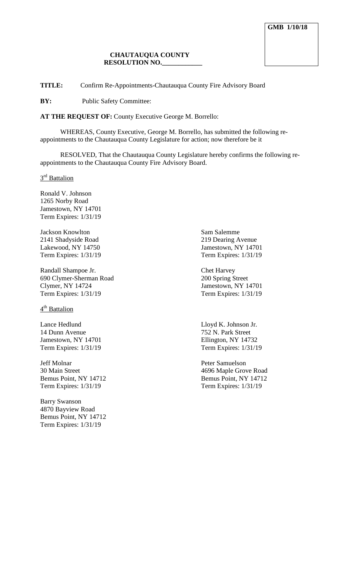**TITLE:** Confirm Re-Appointments-Chautauqua County Fire Advisory Board

**BY:** Public Safety Committee:

**AT THE REQUEST OF:** County Executive George M. Borrello:

WHEREAS, County Executive, George M. Borrello, has submitted the following reappointments to the Chautauqua County Legislature for action; now therefore be it

RESOLVED, That the Chautauqua County Legislature hereby confirms the following reappointments to the Chautauqua County Fire Advisory Board.

3<sup>rd</sup> Battalion

Ronald V. Johnson 1265 Norby Road Jamestown, NY 14701 Term Expires: 1/31/19

**Jackson Knowlton** Sam Salemme 2141 Shadyside Road 219 Dearing Avenue Lakewood, NY 14750 Jamestown, NY 14701 Term Expires: 1/31/19 Term Expires: 1/31/19

Randall Shampoe Jr. Chet Harvey 690 Clymer-Sherman Road 200 Spring Street Term Expires: 1/31/19 Term Expires: 1/31/19

4<sup>th</sup> Battalion

Lance Hedlund Lloyd K. Johnson Jr. 14 Dunn Avenue 752 N. Park Street Jamestown, NY 14701 Ellington, NY 14732 Term Expires: 1/31/19 Term Expires: 1/31/19

Jeff Molnar Peter Samuelson<br>
30 Main Street<br>
2696 Manle Grov Term Expires: 1/31/19 Term Expires: 1/31/19

Barry Swanson 4870 Bayview Road Bemus Point, NY 14712 Term Expires: 1/31/19

Jamestown, NY 14701

4696 Maple Grove Road Bemus Point, NY 14712 Bemus Point, NY 14712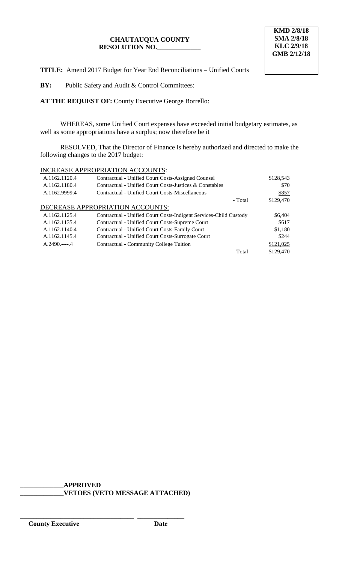**TITLE:** Amend 2017 Budget for Year End Reconciliations – Unified Courts

**BY:** Public Safety and Audit & Control Committees:

**AT THE REQUEST OF:** County Executive George Borrello:

WHEREAS, some Unified Court expenses have exceeded initial budgetary estimates, as well as some appropriations have a surplus; now therefore be it

RESOLVED, That the Director of Finance is hereby authorized and directed to make the following changes to the 2017 budget:

## INCREASE APPROPRIATION ACCOUNTS:

| A.1162.1120.4 | Contractual - Unified Court Costs-Assigned Counsel                | \$128,543 |
|---------------|-------------------------------------------------------------------|-----------|
| A.1162.1180.4 | Contractual - Unified Court Costs-Justices & Constables           | \$70      |
| A.1162.9999.4 | Contractual - Unified Court Costs-Miscellaneous                   | \$857     |
|               | - Total                                                           | \$129,470 |
|               | DECREASE APPROPRIATION ACCOUNTS:                                  |           |
| A.1162.1125.4 | Contractual - Unified Court Costs-Indigent Services-Child Custody | \$6,404   |
| A.1162.1135.4 | Contractual - Unified Court Costs-Supreme Court                   | \$617     |
| A.1162.1140.4 | Contractual - Unified Court Costs-Family Court                    | \$1,180   |
| A.1162.1145.4 | Contractual - Unified Court Costs-Surrogate Court                 | \$244     |
| $A.2490---4$  | Contractual - Community College Tuition                           | \$121,025 |
|               | - Total                                                           | \$129,470 |

**\_\_\_\_\_\_\_\_\_\_\_\_\_APPROVED \_\_\_\_\_\_\_\_\_\_\_\_\_VETOES (VETO MESSAGE ATTACHED)**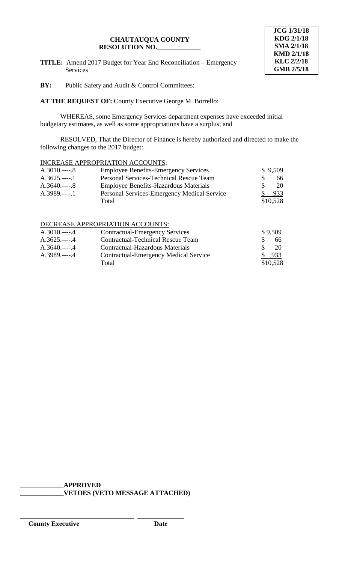**TITLE:** Amend 2017 Budget for Year End Reconciliation – Emergency Services



**BY:** Public Safety and Audit & Control Committees:

**AT THE REQUEST OF:** County Executive George M. Borrello:

WHEREAS, some Emergency Services department expenses have exceeded initial budgetary estimates, as well as some appropriations have a surplus; and

RESOLVED, That the Director of Finance is hereby authorized and directed to make the following changes to the 2017 budget:

# INCREASE APPROPRIATION ACCOUNTS:

| $A.3010$ 8       | <b>Employee Benefits-Emergency Services</b>  | \$9,509  |
|------------------|----------------------------------------------|----------|
| $A.3625$ .----.1 | Personal Services-Technical Rescue Team      | 66.      |
| $A.3640$ 8       | <b>Employee Benefits-Hazardous Materials</b> | 20       |
| $A.3989$ 1       | Personal Services-Emergency Medical Service  | 933      |
|                  | Total                                        | \$10,528 |

## DECREASE APPROPRIATION ACCOUNTS:

| $A.3010$ 4       | <b>Contractual-Emergency Services</b>    |               | \$9,509  |
|------------------|------------------------------------------|---------------|----------|
| $A.3625$ .----.4 | <b>Contractual-Technical Rescue Team</b> |               | 66.      |
| $A.3640$ .----.4 | Contractual-Hazardous Materials          | $\mathcal{S}$ | 20       |
| $A.3989$ .----.4 | Contractual-Emergency Medical Service    | SC 1989       | 933      |
|                  | Total                                    |               | \$10,528 |

**\_\_\_\_\_\_\_\_\_\_\_\_\_APPROVED**

\_\_\_\_\_\_\_\_\_\_\_\_\_\_\_\_\_\_\_\_\_\_\_\_\_\_\_\_\_\_\_\_\_\_ \_\_\_\_\_\_\_\_\_\_\_\_\_\_

**\_\_\_\_\_\_\_\_\_\_\_\_\_VETOES (VETO MESSAGE ATTACHED)**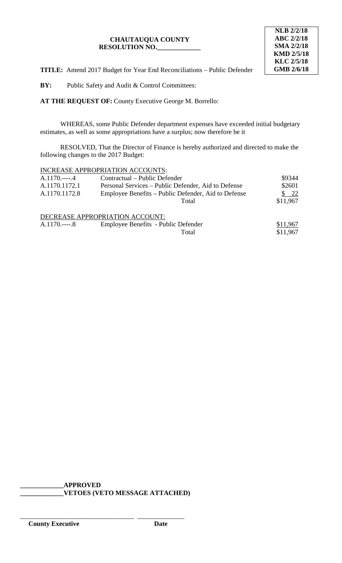

**TITLE:** Amend 2017 Budget for Year End Reconciliations – Public Defender

**BY:** Public Safety and Audit & Control Committees:

**AT THE REQUEST OF:** County Executive George M. Borrello:

WHEREAS, some Public Defender department expenses have exceeded initial budgetary estimates, as well as some appropriations have a surplus; now therefore be it

RESOLVED, That the Director of Finance is hereby authorized and directed to make the following changes to the 2017 Budget:

## INCREASE APPROPRIATION ACCOUNTS:

| $A.1170$ 4    | Contractual – Public Defender                       | \$9344   |
|---------------|-----------------------------------------------------|----------|
| A.1170.1172.1 | Personal Services – Public Defender, Aid to Defense | \$2601   |
| A.1170.1172.8 | Employee Benefits – Public Defender, Aid to Defense | 22       |
|               | Total                                               | \$11,967 |
|               | DECREASE APPROPRIATION ACCOUNT:                     |          |
| $A.1170$ 8    | Employee Benefits - Public Defender                 | \$11,967 |
|               | Total                                               | \$11,967 |

**\_\_\_\_\_\_\_\_\_\_\_\_\_APPROVED \_\_\_\_\_\_\_\_\_\_\_\_\_VETOES (VETO MESSAGE ATTACHED)**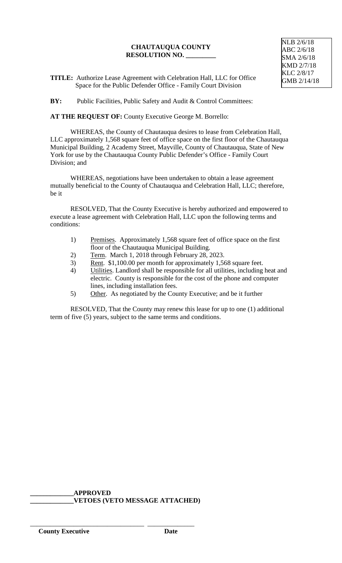**TITLE:** Authorize Lease Agreement with Celebration Hall, LLC for Office Space for the Public Defender Office - Family Court Division

**BY:** Public Facilities, Public Safety and Audit & Control Committees:

**AT THE REQUEST OF:** County Executive George M. Borrello:

WHEREAS, the County of Chautauqua desires to lease from Celebration Hall, LLC approximately 1,568 square feet of office space on the first floor of the Chautauqua Municipal Building, 2 Academy Street, Mayville, County of Chautauqua, State of New York for use by the Chautauqua County Public Defender's Office - Family Court Division; and

WHEREAS, negotiations have been undertaken to obtain a lease agreement mutually beneficial to the County of Chautauqua and Celebration Hall, LLC; therefore, be it

RESOLVED, That the County Executive is hereby authorized and empowered to execute a lease agreement with Celebration Hall, LLC upon the following terms and conditions:

- 1) Premises. Approximately 1,568 square feet of office space on the first floor of the Chautauqua Municipal Building.
- 2) Term. March 1, 2018 through February 28, 2023.
- 3) Rent. \$1,100.00 per month for approximately 1,568 square feet.
- 4) Utilities. Landlord shall be responsible for all utilities, including heat and electric. County is responsible for the cost of the phone and computer lines, including installation fees.
- 5) Other. As negotiated by the County Executive; and be it further

RESOLVED, That the County may renew this lease for up to one (1) additional term of five (5) years, subject to the same terms and conditions.

**\_\_\_\_\_\_\_\_\_\_\_\_\_APPROVED \_\_\_\_\_\_\_\_\_\_\_\_\_VETOES (VETO MESSAGE ATTACHED)**

\_\_\_\_\_\_\_\_\_\_\_\_\_\_\_\_\_\_\_\_\_\_\_\_\_\_\_\_\_\_\_\_\_\_ \_\_\_\_\_\_\_\_\_\_\_\_\_\_

NLB 2/6/18 ABC 2/6/18 SMA 2/6/18 KMD 2/7/18 KLC 2/8/17 GMB 2/14/18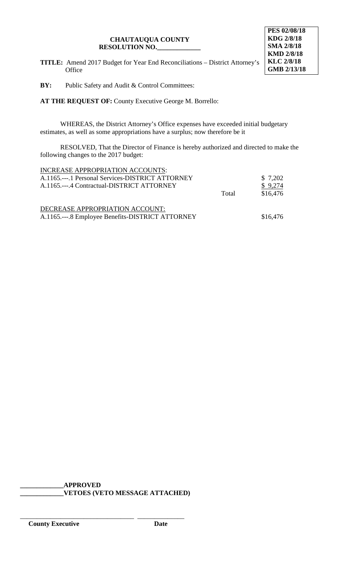

**TITLE:** Amend 2017 Budget for Year End Reconciliations – District Attorney's Office

**BY:** Public Safety and Audit & Control Committees:

**AT THE REQUEST OF:** County Executive George M. Borrello:

WHEREAS, the District Attorney's Office expenses have exceeded initial budgetary estimates, as well as some appropriations have a surplus; now therefore be it

RESOLVED, That the Director of Finance is hereby authorized and directed to make the following changes to the 2017 budget:

| INCREASE APPROPRIATION ACCOUNTS:                 |       |          |
|--------------------------------------------------|-------|----------|
| A.1165.---.1 Personal Services-DISTRICT ATTORNEY |       | \$7,202  |
| A.1165.---.4 Contractual-DISTRICT ATTORNEY       |       | \$9,274  |
|                                                  | Total | \$16,476 |
|                                                  |       |          |
| DECREASE APPROPRIATION ACCOUNT:                  |       |          |
| A.1165.---.8 Employee Benefits-DISTRICT ATTORNEY |       | \$16,476 |

**\_\_\_\_\_\_\_\_\_\_\_\_\_APPROVED \_\_\_\_\_\_\_\_\_\_\_\_\_VETOES (VETO MESSAGE ATTACHED)**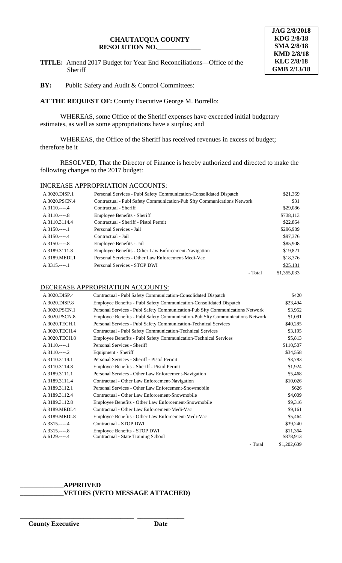**TITLE:** Amend 2017 Budget for Year End Reconciliations—Office of the Sheriff



**BY:** Public Safety and Audit & Control Committees:

**AT THE REQUEST OF:** County Executive George M. Borrello:

WHEREAS, some Office of the Sheriff expenses have exceeded initial budgetary estimates, as well as some appropriations have a surplus; and

WHEREAS, the Office of the Sheriff has received revenues in excess of budget; therefore be it

RESOLVED, That the Director of Finance is hereby authorized and directed to make the following changes to the 2017 budget:

### INCREASE APPROPRIATION ACCOUNTS:

| A.3020.DISP.1  | Personal Services - Publ Safety Communication-Consolidated Dispatch            |         | \$21,369    |
|----------------|--------------------------------------------------------------------------------|---------|-------------|
| A.3020.PSCN.4  | <b>Contractual - Publ Safety Communication-Pub Sfty Communications Network</b> |         | \$31        |
| $A.3110.---.4$ | Contractual - Sheriff                                                          |         | \$29,086    |
| $A.3110.---8$  | Employee Benefits - Sheriff                                                    |         | \$738,113   |
| A.3110.3114.4  | Contractual - Sheriff - Pistol Permit                                          |         | \$22,864    |
| $A.3150---1$   | Personal Services - Jail                                                       |         | \$296,909   |
| $A.3150---4$   | Contractual - Jail                                                             |         | \$97,376    |
| $A.3150---8$   | Employee Benefits - Jail                                                       |         | \$85,908    |
| A.3189.3111.8  | Employee Benefits - Other Law Enforcement-Navigation                           |         | \$19,821    |
| A.3189.MEDI.1  | Personal Services - Other Law Enforcement-Medi-Vac                             |         | \$18,376    |
| $A.3315.---1$  | Personal Services - STOP DWI                                                   |         | \$25,181    |
|                |                                                                                | - Total | \$1,355,033 |

## DECREASE APPROPRIATION ACCOUNTS:

| A.3020.DISP.4 | Contractual - Publ Safety Communication-Consolidated Dispatch                 | \$420       |
|---------------|-------------------------------------------------------------------------------|-------------|
| A.3020.DISP.8 | Employee Benefits - Publ Safety Communication-Consolidated Dispatch           | \$23,494    |
| A.3020.PSCN.1 | Personal Services - Publ Safety Communication-Pub Sfty Communications Network | \$3,952     |
| A.3020.PSCN.8 | Employee Benefits - Publ Safety Communication-Pub Sfty Communications Network | \$1,091     |
| A.3020.TECH.1 | Personal Services - Publ Safety Communication-Technical Services              | \$40,285    |
| A.3020.TECH.4 | <b>Contractual - Publ Safety Communication-Technical Services</b>             | \$3,195     |
| A.3020.TECH.8 | <b>Employee Benefits - Publ Safety Communication-Technical Services</b>       | \$5,813     |
| $A.3110.---1$ | Personal Services - Sheriff                                                   | \$110,507   |
| $A.3110.---2$ | Equipment - Sheriff                                                           | \$34,558    |
| A.3110.3114.1 | Personal Services - Sheriff - Pistol Permit                                   | \$3,783     |
| A.3110.3114.8 | Employee Benefits - Sheriff - Pistol Permit                                   | \$1,924     |
| A.3189.3111.1 | Personal Services - Other Law Enforcement-Navigation                          | \$5,468     |
| A.3189.3111.4 | Contractual - Other Law Enforcement-Navigation                                | \$10,026    |
| A.3189.3112.1 | Personal Services - Other Law Enforcement-Snowmobile                          | \$626       |
| A.3189.3112.4 | Contractual - Other Law Enforcement-Snowmobile                                | \$4,009     |
| A.3189.3112.8 | Employee Benefits - Other Law Enforcement-Snowmobile                          | \$9,316     |
| A.3189.MEDI.4 | Contractual - Other Law Enforcement-Medi-Vac                                  | \$9,161     |
| A.3189.MEDI.8 | Employee Benefits - Other Law Enforcement-Medi-Vac                            | \$5,464     |
| $A.3315.---4$ | Contractual - STOP DWI                                                        | \$39,240    |
| $A.3315.---8$ | Employee Benefits - STOP DWI                                                  | \$11,364    |
| $A.6129.---4$ | Contractual - State Training School                                           | \$878,913   |
|               | - Total                                                                       | \$1,202,609 |

#### **\_\_\_\_\_\_\_\_\_\_\_\_\_APPROVED \_\_\_\_\_\_\_\_\_\_\_\_\_VETOES (VETO MESSAGE ATTACHED)**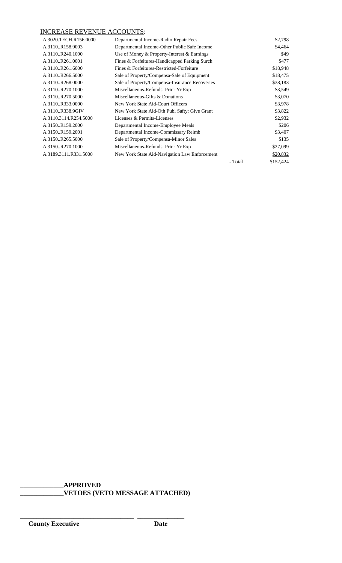## INCREASE REVENUE ACCOUNTS:

| A.3020.TECH.R156.0000 | Departmental Income-Radio Repair Fees          |         | \$2,798   |
|-----------------------|------------------------------------------------|---------|-----------|
| A.3110R158.9003       | Departmental Income-Other Public Safe Income   |         | \$4,464   |
| A.3110R240.1000       | Use of Money & Property-Interest & Earnings    |         | \$49      |
| A.3110R261.0001       | Fines & Forfeitures-Handicapped Parking Surch  |         | \$477     |
| A.3110R261.6000       | Fines & Forfeitures-Restricted-Forfeiture      |         | \$18,948  |
| A.3110R266.5000       | Sale of Property/Compensa-Sale of Equipment    |         | \$18,475  |
| A.3110R268.0000       | Sale of Property/Compensa-Insurance Recoveries |         | \$38,183  |
| A.3110R270.1000       | Miscellaneous-Refunds: Prior Yr Exp            |         | \$3,549   |
| A.3110R270.5000       | Miscellaneous-Gifts & Donations                |         | \$3,070   |
| A.3110R333.0000       | New York State Aid-Court Officers              |         | \$3,978   |
| A.3110R338.9GIV       | New York State Aid-Oth Publ Safty: Give Grant  |         | \$3,822   |
| A.3110.3114.R254.5000 | Licenses & Permits-Licenses                    |         | \$2,932   |
| A.3150R159.2000       | Departmental Income-Employee Meals             |         | \$206     |
| A.3150R159.2001       | Departmental Income-Commissary Reimb           |         | \$3,407   |
| A.3150R265.5000       | Sale of Property/Compensa-Minor Sales          |         | \$135     |
| A.3150R270.1000       | Miscellaneous-Refunds: Prior Yr Exp            |         | \$27,099  |
| A.3189.3111.R331.5000 | New York State Aid-Navigation Law Enforcement  |         | \$20,832  |
|                       |                                                | - Total | \$152,424 |

**\_\_\_\_\_\_\_\_\_\_\_\_\_APPROVED \_\_\_\_\_\_\_\_\_\_\_\_\_VETOES (VETO MESSAGE ATTACHED)**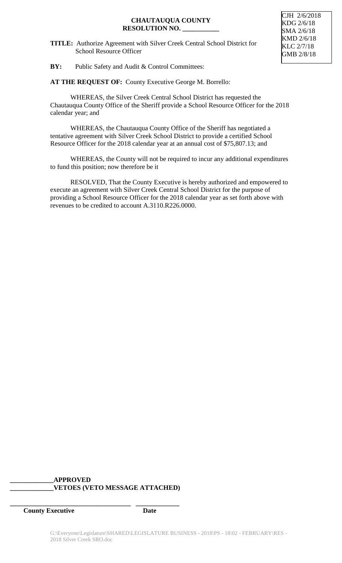**TITLE:** Authorize Agreement with Silver Creek Central School District for School Resource Officer

CJH 2/6/2018 KDG 2/6/18 SMA 2/6/18 KMD 2/6/18 KLC 2/7/18 GMB 2/8/18

**BY:** Public Safety and Audit & Control Committees:

**AT THE REQUEST OF:** County Executive George M. Borrello:

WHEREAS, the Silver Creek Central School District has requested the Chautauqua County Office of the Sheriff provide a School Resource Officer for the 2018 calendar year; and

WHEREAS, the Chautauqua County Office of the Sheriff has negotiated a tentative agreement with Silver Creek School District to provide a certified School Resource Officer for the 2018 calendar year at an annual cost of \$75,807.13; and

WHEREAS, the County will not be required to incur any additional expenditures to fund this position; now therefore be it

RESOLVED, That the County Executive is hereby authorized and empowered to execute an agreement with Silver Creek Central School District for the purpose of providing a School Resource Officer for the 2018 calendar year as set forth above with revenues to be credited to account A.3110.R226.0000.

### **\_\_\_\_\_\_\_\_\_\_\_\_\_APPROVED \_\_\_\_\_\_\_\_\_\_\_\_\_VETOES (VETO MESSAGE ATTACHED)**

**\_\_\_\_\_\_\_\_\_\_\_\_\_\_\_\_\_\_\_\_\_\_\_\_\_\_\_\_\_\_\_\_\_\_\_\_ \_\_\_\_\_\_\_\_\_\_\_\_\_**

**County Executive Date**